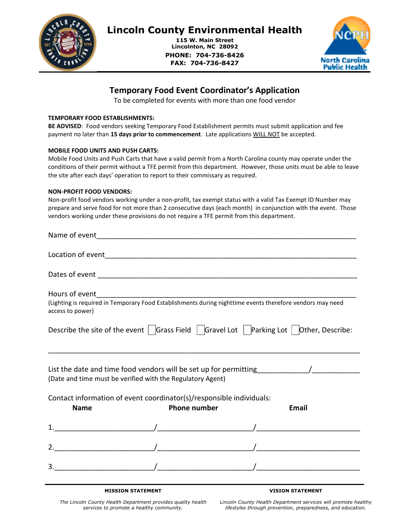

# Lincoln County Environmental Health

115 W. Main Street Lincolnton, NC 28092 PHONE: 704-736-8426 FAX: 704-736-8427



## Temporary Food Event Coordinator's Application

٦

To be completed for events with more than one food vendor

#### TEMPORARY FOOD ESTABLISHMENTS:

BE ADVISED: Food vendors seeking Temporary Food Establishment permits must submit application and fee payment no later than 15 days prior to commencement. Late applications WILL NOT be accepted.

#### MOBILE FOOD UNITS AND PUSH CARTS:

Mobile Food Units and Push Carts that have a valid permit from a North Carolina county may operate under the conditions of their permit without a TFE permit from this department. However, those units must be able to leave the site after each days' operation to report to their commissary as required.

#### NON-PROFIT FOOD VENDORS:

Non-profit food vendors working under a non-profit, tax exempt status with a valid Tax Exempt ID Number may prepare and serve food for not more than 2 consecutive days (each month) in conjunction with the event. Those vendors working under these provisions do not require a TFE permit from this department.

| Hours of event   |                                                                      |                                                                                                                |
|------------------|----------------------------------------------------------------------|----------------------------------------------------------------------------------------------------------------|
| access to power) |                                                                      | (Lighting is required in Temporary Food Establishments during nighttime events therefore vendors may need      |
|                  |                                                                      | Describe the site of the event $\Box$ Grass Field $\Box$ Gravel Lot $\Box$ Parking Lot $\Box$ Other, Describe: |
|                  | (Date and time must be verified with the Regulatory Agent)           |                                                                                                                |
|                  | Contact information of event coordinator(s)/responsible individuals: |                                                                                                                |
| <b>Name</b>      | <b>Phone number</b>                                                  | <b>Email</b>                                                                                                   |
|                  |                                                                      |                                                                                                                |
|                  |                                                                      |                                                                                                                |
|                  | $\frac{1}{2}$                                                        |                                                                                                                |
|                  |                                                                      |                                                                                                                |

MISSION STATEMENT

#### VISION STATEMENT

The Lincoln County Health Department provides quality health services to promote a healthy community.

Lincoln County Health Department services will promote healthy lifestyles through prevention, preparedness, and education.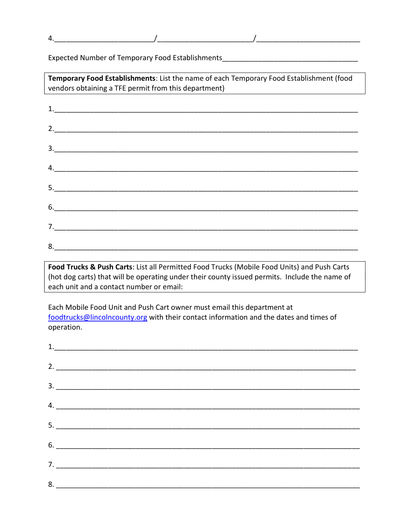Expected Number of Temporary Food Establishments\_\_\_\_\_\_\_\_\_\_\_\_\_\_\_\_\_\_\_\_\_\_\_\_\_\_\_\_\_\_\_\_

 $4.$ 

| Temporary Food Establishments: List the name of each Temporary Food Establishment (food<br>vendors obtaining a TFE permit from this department) |  |  |  |
|-------------------------------------------------------------------------------------------------------------------------------------------------|--|--|--|
| <u> 1989 - Johann Barbara, martxa eta idazlea (h. 1989).</u>                                                                                    |  |  |  |
|                                                                                                                                                 |  |  |  |
|                                                                                                                                                 |  |  |  |
| $\mathbf{3.}$                                                                                                                                   |  |  |  |
| $\mathcal{A}$ .                                                                                                                                 |  |  |  |
| $\begin{array}{c c c c c c} \hline \text{5.} & \text{5.} & \text{5.} & \text{5.} & \text{5.} \\ \hline \end{array}$                             |  |  |  |
|                                                                                                                                                 |  |  |  |
|                                                                                                                                                 |  |  |  |
| 8.                                                                                                                                              |  |  |  |

Food Trucks & Push Carts: List all Permitted Food Trucks (Mobile Food Units) and Push Carts (hot dog carts) that will be operating under their county issued permits. Include the name of each unit and a contact number or email:

Each Mobile Food Unit and Push Cart owner must email this department at foodtrucks@lincolncounty.org with their contact information and the dates and times of operation.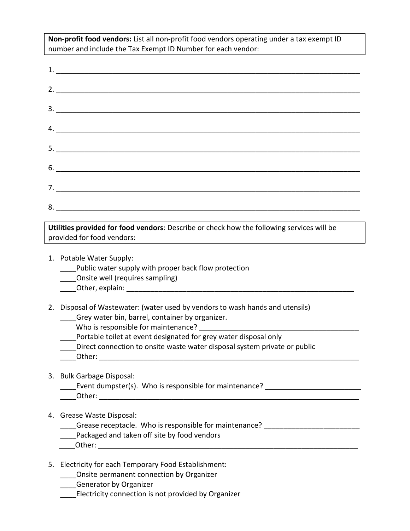Non-profit food vendors: List all non-profit food vendors operating under a tax exempt ID number and include the Tax Exempt ID Number for each vendor:

Utilities provided for food vendors: Describe or check how the following services will be provided for food vendors:

- 1. Potable Water Supply:
	- Public water supply with proper back flow protection
	- \_\_\_\_Onsite well (requires sampling)
	- Other, explain: **Exception**

2. Disposal of Wastewater: (water used by vendors to wash hands and utensils) Grey water bin, barrel, container by organizer.

Who is responsible for maintenance?

Portable toilet at event designated for grey water disposal only

- Direct connection to onsite waste water disposal system private or public
- Other:  $\Box$

## 3. Bulk Garbage Disposal:

- \_\_\_\_\_Event dumpster(s). Who is responsible for maintenance? \_\_\_\_\_\_\_\_\_\_\_\_\_\_\_\_\_\_\_\_\_
- \_\_\_\_Other: \_\_\_\_\_\_\_\_\_\_\_\_\_\_\_\_\_\_\_\_\_\_\_\_\_\_\_\_\_\_\_\_\_\_\_\_\_\_\_\_\_\_\_\_\_\_\_\_\_\_\_\_\_\_\_\_\_\_\_\_\_\_\_\_\_

## 4. Grease Waste Disposal:

Grease receptacle. Who is responsible for maintenance?

- Packaged and taken off site by food vendors
- Other:  $\Box$

## 5. Electricity for each Temporary Food Establishment:

- \_\_\_\_Onsite permanent connection by Organizer
- **\_\_\_\_Generator by Organizer**
- Lectricity connection is not provided by Organizer